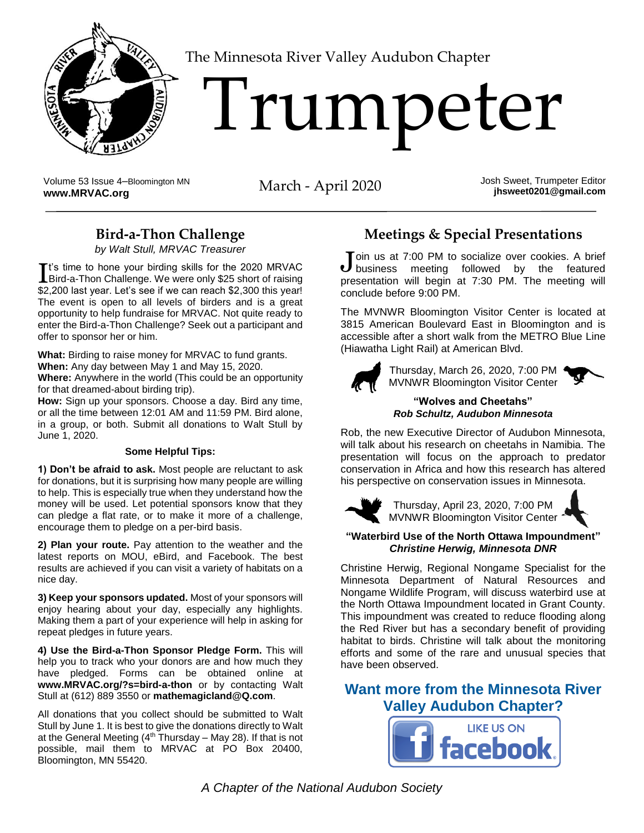

[T](http://www.MRVAC.org)he Minnesota River Valley Audubon Chapter

# **Trumpeter**

Volume 53 Issue 4–Bloomington MN Volume 53 Issue 4-Bloomington MN<br> **March** - April 2020 **Josh Sweet, Trumpeter Editor**<br> **[www.MRVAC.org](http://www.mrvac.org/)** in the Unit of the March - April 2020

**jhsweet0201@gmail.com**

## **Bird-a-Thon Challenge**

*by Walt Stull, MRVAC Treasurer*

t's time to hone your birding skills for the 2020 MRVAC It's time to hone your birding skills for the 2020 MRVAC<br>Bird-a-Thon Challenge. We were only \$25 short of raising \$2,200 last year. Let's see if we can reach \$2,300 this year! The event is open to all levels of birders and is a great opportunity to help fundraise for MRVAC. Not quite ready to enter the Bird-a-Thon Challenge? Seek out a participant and offer to sponsor her or him.

**What:** Birding to raise money for MRVAC to fund grants.

**When:** Any day between May 1 and May 15, 2020.

**Where:** Anywhere in the world (This could be an opportunity for that dreamed-about birding trip).

**How:** Sign up your sponsors. Choose a day. Bird any time, or all the time between 12:01 AM and 11:59 PM. Bird alone, in a group, or both. Submit all donations to Walt Stull by June 1, 2020.

#### **Some Helpful Tips:**

**1) Don't be afraid to ask.** Most people are reluctant to ask for donations, but it is surprising how many people are willing to help. This is especially true when they understand how the money will be used. Let potential sponsors know that they can pledge a flat rate, or to make it more of a challenge, encourage them to pledge on a per-bird basis.

**2) Plan your route.** Pay attention to the weather and the latest reports on MOU, eBird, and Facebook. The best results are achieved if you can visit a variety of habitats on a nice day.

**3) Keep your sponsors updated.** Most of your sponsors will enjoy hearing about your day, especially any highlights. Making them a part of your experience will help in asking for repeat pledges in future years.

**4) Use the Bird-a-Thon Sponsor Pledge Form.** This will help you to track who your donors are and how much they have pledged. Forms can be obtained online at **[www.MRVAC.org/?s=bird-a-thon](http://www.mrvac.org/?s=bird-a-thon)** or by contacting Walt Stull at (612) 889 3550 or **[mathemagicland@Q.com](mailto:mathemagicland@Q.com)**.

All donations that you collect should be submitted to Walt Stull by June 1. It is best to give the donations directly to Walt at the General Meeting  $(4<sup>th</sup> Thursday – May 28)$ . If that is not possible, mail them to MRVAC at PO Box 20400, Bloomington, MN 55420.

## **Meetings & Special Presentations**

Toin us at 7:00 PM to socialize over cookies. A brief Join us at 7:00 PM to socialize over cookies. A brief<br>business meeting followed by the featured presentation will begin at 7:30 PM. The meeting will conclude before 9:00 PM.

The MVNWR Bloomington Visitor Center is located at 3815 American Boulevard East in Bloomington and is accessible after a short walk from the METRO Blue Line (Hiawatha Light Rail) at American Blvd.



Thursday, March 26, 2020, 7:00 PM MVNWR Bloomington Visitor Center



#### **"Wolves and Cheetahs"** *Rob Schultz, Audubon Minnesota*

Rob, the new Executive Director of Audubon Minnesota, will talk about his research on cheetahs in Namibia. The presentation will focus on the approach to predator conservation in Africa and how this research has altered his perspective on conservation issues in Minnesota.



Thursday, April 23, 2020, 7:00 PM MVNWR Bloomington Visitor Center

#### **"Waterbird Use of the North Ottawa Impoundment"** *Christine Herwig, Minnesota DNR*

Christine Herwig, Regional Nongame Specialist for the Minnesota Department of Natural Resources and Nongame Wildlife Program, will discuss waterbird use at the North Ottawa Impoundment located in Grant County. This impoundment was created to reduce flooding along the Red River but has a secondary benefit of providing habitat to birds. Christine will talk about the monitoring efforts and some of the rare and unusual species that have been observed.

**Want more from the Minnesota River Valley Audubon Chapter?**



*A Chapter of the National Audubon Society*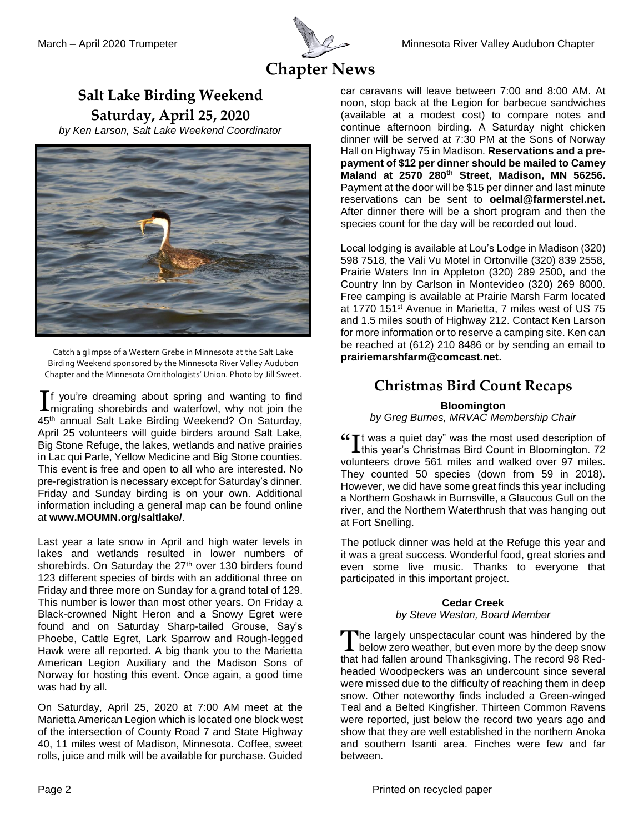

# **Chapter News**

## **Salt Lake Birding Weekend Saturday, April 25, 2020**

*by Ken Larson, Salt Lake Weekend Coordinator*



Catch a glimpse of a Western Grebe in Minnesota at the Salt Lake Birding Weekend sponsored by the Minnesota River Valley Audubon Chapter and the Minnesota Ornithologists' Union. Photo by Jill Sweet.

f you're dreaming about spring and wanting to find  $\prod$  you're dreaming about spring and wanting to find migrating shorebirds and waterfowl, why not join the 45<sup>th</sup> annual Salt Lake Birding Weekend? On Saturday, April 25 volunteers will guide birders around Salt Lake, Big Stone Refuge, the lakes, wetlands and native prairies in Lac qui Parle, Yellow Medicine and Big Stone counties. This event is free and open to all who are interested. No pre-registration is necessary except for Saturday's dinner. Friday and Sunday birding is on your own. Additional information including a general map can be found online at **[www.MOUMN.org/saltlake/](http://www.moumn.org/saltlake/)**.

Last year a late snow in April and high water levels in lakes and wetlands resulted in lower numbers of shorebirds. On Saturday the 27<sup>th</sup> over 130 birders found 123 different species of birds with an additional three on Friday and three more on Sunday for a grand total of 129. This number is lower than most other years. On Friday a Black-crowned Night Heron and a Snowy Egret were found and on Saturday Sharp-tailed Grouse, Say's Phoebe, Cattle Egret, Lark Sparrow and Rough-legged Hawk were all reported. A big thank you to the Marietta American Legion Auxiliary and the Madison Sons of Norway for hosting this event. Once again, a good time was had by all.

On Saturday, April 25, 2020 at 7:00 AM meet at the Marietta American Legion which is located one block west of the intersection of County Road 7 and State Highway 40, 11 miles west of Madison, Minnesota. Coffee, sweet rolls, juice and milk will be available for purchase. Guided

car caravans will leave between 7:00 and 8:00 AM. At noon, stop back at the Legion for barbecue sandwiches (available at a modest cost) to compare notes and continue afternoon birding. A Saturday night chicken dinner will be served at 7:30 PM at the Sons of Norway Hall on Highway 75 in Madison. **Reservations and a prepayment of \$12 per dinner should be mailed to Camey Maland at 2570 280th Street, Madison, MN 56256.**  Payment at the door will be \$15 per dinner and last minute reservations can be sent to **[oelmal@farmerstel.net.](mailto:oelmal@farmerstel.net)** After dinner there will be a short program and then the species count for the day will be recorded out loud.

Local lodging is available at Lou's Lodge in Madison (320) 598 7518, the Vali Vu Motel in Ortonville (320) 839 2558, Prairie Waters Inn in Appleton (320) 289 2500, and the Country Inn by Carlson in Montevideo (320) 269 8000. Free camping is available at Prairie Marsh Farm located at 1770 151st Avenue in Marietta, 7 miles west of US 75 and 1.5 miles south of Highway 212. Contact Ken Larson for more information or to reserve a camping site. Ken can be reached at (612) 210 8486 or by sending an email to **[prairiemarshfarm@comcast.net.](mailto:prairiemarshfarm@comcast.net)**

## **Christmas Bird Count Recaps**

#### **Bloomington**

*by Greg Burnes, MRVAC Membership Chair*

 $\mathcal{C}$  twas a quiet day" was the most used description of this year's Christmas Bird Count in Bloomington. 72  $\blacktriangle$ this year's Christmas Bird Count in Bloomington. 72 volunteers drove 561 miles and walked over 97 miles. They counted 50 species (down from 59 in 2018). However, we did have some great finds this year including a Northern Goshawk in Burnsville, a Glaucous Gull on the river, and the Northern Waterthrush that was hanging out at Fort Snelling.

The potluck dinner was held at the Refuge this year and it was a great success. Wonderful food, great stories and even some live music. Thanks to everyone that participated in this important project.

#### **Cedar Creek** *by Steve Weston, Board Member*

The largely unspectacular count was hindered by the The largely unspectacular count was hindered by the below zero weather, but even more by the deep snow that had fallen around Thanksgiving. The record 98 Redheaded Woodpeckers was an undercount since several were missed due to the difficulty of reaching them in deep snow. Other noteworthy finds included a Green-winged Teal and a Belted Kingfisher. Thirteen Common Ravens were reported, just below the record two years ago and show that they are well established in the northern Anoka and southern Isanti area. Finches were few and far between.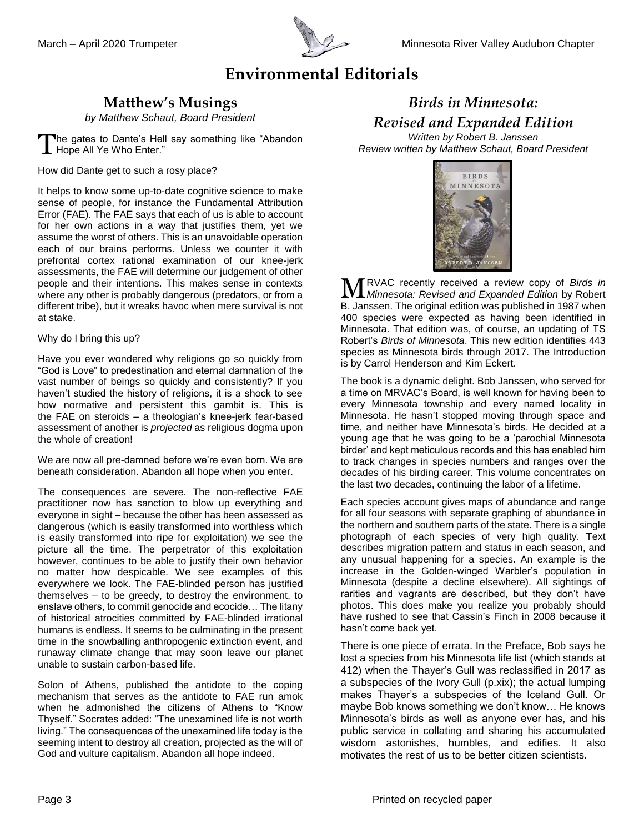

# **Environmental Editorials**

## **Matthew's Musings**

*by Matthew Schaut, Board President*

The gates to Dante's Hell say something like "Abandon The gates to Dante's Hel<br>Thope All Ye Who Enter."

How did Dante get to such a rosy place?

It helps to know some up-to-date cognitive science to make sense of people, for instance the Fundamental Attribution Error (FAE). The FAE says that each of us is able to account for her own actions in a way that justifies them, yet we assume the worst of others. This is an unavoidable operation each of our brains performs. Unless we counter it with prefrontal cortex rational examination of our knee-jerk assessments, the FAE will determine our judgement of other people and their intentions. This makes sense in contexts where any other is probably dangerous (predators, or from a different tribe), but it wreaks havoc when mere survival is not at stake.

Why do I bring this up?

Have you ever wondered why religions go so quickly from "God is Love" to predestination and eternal damnation of the vast number of beings so quickly and consistently? If you haven't studied the history of religions, it is a shock to see how normative and persistent this gambit is. This is the FAE on steroids – a theologian's knee-jerk fear-based assessment of another is *projected* as religious dogma upon the whole of creation!

We are now all pre-damned before we're even born. We are beneath consideration. Abandon all hope when you enter.

The consequences are severe. The non-reflective FAE practitioner now has sanction to blow up everything and everyone in sight – because the other has been assessed as dangerous (which is easily transformed into worthless which is easily transformed into ripe for exploitation) we see the picture all the time. The perpetrator of this exploitation however, continues to be able to justify their own behavior no matter how despicable. We see examples of this everywhere we look. The FAE-blinded person has justified themselves – to be greedy, to destroy the environment, to enslave others, to commit genocide and ecocide… The litany of historical atrocities committed by FAE-blinded irrational humans is endless. It seems to be culminating in the present time in the snowballing anthropogenic extinction event, and runaway climate change that may soon leave our planet unable to sustain carbon-based life.

Solon of Athens, published the antidote to the coping mechanism that serves as the antidote to FAE run amok when he admonished the citizens of Athens to "Know Thyself." Socrates added: "The unexamined life is not worth living." The consequences of the unexamined life today is the seeming intent to destroy all creation, projected as the will of God and vulture capitalism. Abandon all hope indeed.

# *Birds in Minnesota: Revised and Expanded Edition*

*Written by Robert B. Janssen Review written by Matthew Schaut, Board President*



RVAC recently received a review copy of *Birds in Minnesota: Revised and Expanded Edition* by Robert **MEXAC** recently received a review copy of Birds in Minnesota: Revised and Expanded Edition by Robert B. Janssen. The original edition was published in 1987 when 400 species were expected as having been identified in Minnesota. That edition was, of course, an updating of TS Robert's *Birds of Minnesota*. This new edition identifies 443 species as Minnesota birds through 2017. The Introduction is by Carrol Henderson and Kim Eckert.

The book is a dynamic delight. Bob Janssen, who served for a time on MRVAC's Board, is well known for having been to every Minnesota township and every named locality in Minnesota. He hasn't stopped moving through space and time, and neither have Minnesota's birds. He decided at a young age that he was going to be a 'parochial Minnesota birder' and kept meticulous records and this has enabled him to track changes in species numbers and ranges over the decades of his birding career. This volume concentrates on the last two decades, continuing the labor of a lifetime.

Each species account gives maps of abundance and range for all four seasons with separate graphing of abundance in the northern and southern parts of the state. There is a single photograph of each species of very high quality. Text describes migration pattern and status in each season, and any unusual happening for a species. An example is the increase in the Golden-winged Warbler's population in Minnesota (despite a decline elsewhere). All sightings of rarities and vagrants are described, but they don't have photos. This does make you realize you probably should have rushed to see that Cassin's Finch in 2008 because it hasn't come back yet.

There is one piece of errata. In the Preface, Bob says he lost a species from his Minnesota life list (which stands at 412) when the Thayer's Gull was reclassified in 2017 as a subspecies of the Ivory Gull (p.xix); the actual lumping makes Thayer's a subspecies of the Iceland Gull. Or maybe Bob knows something we don't know… He knows Minnesota's birds as well as anyone ever has, and his public service in collating and sharing his accumulated wisdom astonishes, humbles, and edifies. It also motivates the rest of us to be better citizen scientists.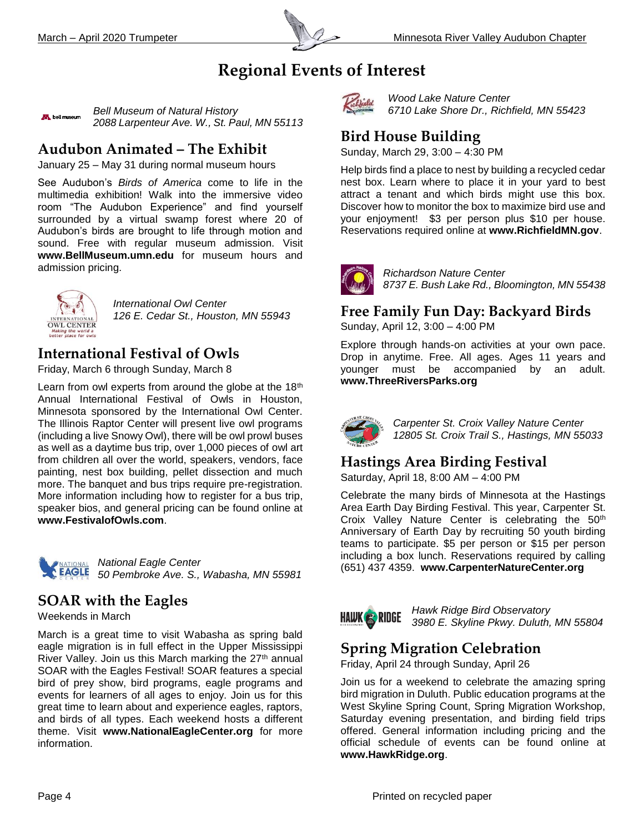

# **Regional Events of Interest**

*Bell Museum of Natural History* **AR** bell museum *2088 Larpenteur Ave. W., St. Paul, MN 55113*

## **Audubon Animated – The Exhibit**

January 25 – May 31 during normal museum hours

See Audubon's *Birds of America* come to life in the multimedia exhibition! Walk into the immersive video room "The Audubon Experience" and find yourself surrounded by a virtual swamp forest where 20 of Audubon's birds are brought to life through motion and sound. Free with regular museum admission. Visit **[www.BellMuseum.umn.edu](http://www.bellmuseum.umn.edu/)** for museum hours and admission pricing.



*International Owl Center 126 E. Cedar St., Houston, MN 55943*

## **International Festival of Owls**

Friday, March 6 through Sunday, March 8

Learn from owl experts from around the globe at the 18<sup>th</sup> Annual International Festival of Owls in Houston, Minnesota sponsored by the International Owl Center. The Illinois Raptor Center will present live owl programs (including a live Snowy Owl), there will be owl prowl buses as well as a daytime bus trip, over 1,000 pieces of owl art from children all over the world, speakers, vendors, face painting, nest box building, pellet dissection and much more. The banquet and bus trips require pre-registration. More information including how to register for a bus trip, speaker bios, and general pricing can be found online at **[www.FestivalofOwls.com](http://www.festivalofowls.com/)**.



*National Eagle Center 50 Pembroke Ave. S., Wabasha, MN 55981*

# **SOAR with the Eagles**

Weekends in March

March is a great time to visit Wabasha as spring bald eagle migration is in full effect in the Upper Mississippi River Valley. Join us this March marking the 27<sup>th</sup> annual SOAR with the Eagles Festival! SOAR features a special bird of prey show, bird programs, eagle programs and events for learners of all ages to enjoy. Join us for this great time to learn about and experience eagles, raptors, and birds of all types. Each weekend hosts a different theme. Visit **[www.NationalEagleCenter.org](http://www.nationaleaglecenter.org/)** for more information.



*Wood Lake Nature Center 6710 Lake Shore Dr., Richfield, MN 55423*

## **Bird House Building**

Sunday, March 29, 3:00 – 4:30 PM

Help birds find a place to nest by building a recycled cedar nest box. Learn where to place it in your yard to best attract a tenant and which birds might use this box. Discover how to monitor the box to maximize bird use and your enjoyment! \$3 per person plus \$10 per house. Reservations required online at **[www.RichfieldMN.gov](http://www.richfieldmn.gov/)**.



*Richardson Nature Center 8737 E. Bush Lake Rd., Bloomington, MN 55438*

## **Free Family Fun Day: Backyard Birds**

Sunday, April 12, 3:00 – 4:00 PM

Explore through hands-on activities at your own pace. Drop in anytime. Free. All ages. Ages 11 years and younger must be accompanied by an adult. **[www.ThreeRiversParks.org](http://www.threeriversparks.org/)**



*Carpenter St. Croix Valley Nature Center 12805 St. Croix Trail S., Hastings, MN 55033*

## **Hastings Area Birding Festival**

Saturday, April 18, 8:00 AM – 4:00 PM

Celebrate the many birds of Minnesota at the Hastings Area Earth Day Birding Festival. This year, Carpenter St. Croix Valley Nature Center is celebrating the 50<sup>th</sup> Anniversary of Earth Day by recruiting 50 youth birding teams to participate. \$5 per person or \$15 per person including a box lunch. Reservations required by calling (651) 437 4359. **[www.CarpenterNatureCenter.org](http://www.carpenternaturecenter.org/)**

**HAWK & RIDGE** 

*Hawk Ridge Bird Observatory 3980 E. Skyline Pkwy. Duluth, MN 55804*

# **Spring Migration Celebration**

Friday, April 24 through Sunday, April 26

Join us for a weekend to celebrate the amazing spring bird migration in Duluth. Public education programs at the West Skyline Spring Count, Spring Migration Workshop, Saturday evening presentation, and birding field trips offered. General information including pricing and the official schedule of events can be found online at **[www.HawkRidge.org](http://www.hawkridge.org/)**.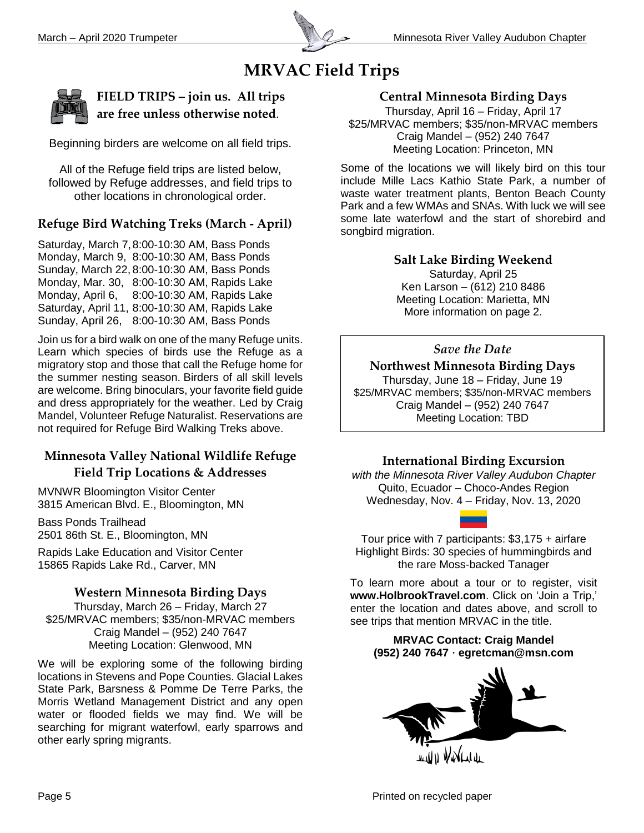

# **MRVAC Field Trips**



**FIELD TRIPS – join us. All trips are free unless otherwise noted**.

Beginning birders are welcome on all field trips.

All of the Refuge field trips are listed below, followed by Refuge addresses, and field trips to other locations in chronological order.

## **Refuge Bird Watching Treks (March - April)**

Saturday, March 7,8:00-10:30 AM, Bass Ponds Monday, March 9, 8:00-10:30 AM, Bass Ponds Sunday, March 22, 8:00-10:30 AM, Bass Ponds Monday, Mar. 30, 8:00-10:30 AM, Rapids Lake Monday, April 6, 8:00-10:30 AM, Rapids Lake Saturday, April 11, 8:00-10:30 AM, Rapids Lake Sunday, April 26, 8:00-10:30 AM, Bass Ponds

Join us for a bird walk on one of the many Refuge units. Learn which species of birds use the Refuge as a migratory stop and those that call the Refuge home for the summer nesting season. Birders of all skill levels are welcome. Bring binoculars, your favorite field guide and dress appropriately for the weather. Led by Craig Mandel, Volunteer Refuge Naturalist. Reservations are not required for Refuge Bird Walking Treks above.

## **Minnesota Valley National Wildlife Refuge Field Trip Locations & Addresses**

MVNWR Bloomington Visitor Center 3815 American Blvd. E., Bloomington, MN

Bass Ponds Trailhead 2501 86th St. E., Bloomington, MN

Rapids Lake Education and Visitor Center 15865 Rapids Lake Rd., Carver, MN

#### **Western Minnesota Birding Days**

Thursday, March 26 – Friday, March 27 \$25/MRVAC members; \$35/non-MRVAC members Craig Mandel – (952) 240 7647 Meeting Location: Glenwood, MN

We will be exploring some of the following birding locations in Stevens and Pope Counties. Glacial Lakes State Park, Barsness & Pomme De Terre Parks, the Morris Wetland Management District and any open water or flooded fields we may find. We will be searching for migrant waterfowl, early sparrows and other early spring migrants.

#### **Central Minnesota Birding Days**

Thursday, April 16 – Friday, April 17 \$25/MRVAC members; \$35/non-MRVAC members Craig Mandel – (952) 240 7647 Meeting Location: Princeton, MN

Some of the locations we will likely bird on this tour include Mille Lacs Kathio State Park, a number of waste water treatment plants, Benton Beach County Park and a few WMAs and SNAs. With luck we will see some late waterfowl and the start of shorebird and songbird migration.

> **Salt Lake Birding Weekend** Saturday, April 25 Ken Larson – (612) 210 8486 Meeting Location: Marietta, MN More information on page 2.

## *Save the Date*

### **Northwest Minnesota Birding Days**

Thursday, June 18 – Friday, June 19 \$25/MRVAC members; \$35/non-MRVAC members Craig Mandel – (952) 240 7647 Meeting Location: TBD

#### **International Birding Excursion**

*with the Minnesota River Valley Audubon Chapter* Quito, Ecuador – Choco-Andes Region Wednesday, Nov. 4 – Friday, Nov. 13, 2020

Tour price with 7 participants: \$3,175 + airfare Highlight Birds: 30 species of hummingbirds and the rare Moss-backed Tanager

To learn more about a tour or to register, visit **www.HolbrookTravel.com**. Click on 'Join a Trip,' enter the location and dates above, and scroll to see trips that mention MRVAC in the title.

#### **MRVAC Contact: Craig Mandel (952) 240 7647 · [egretcman@msn.com](mailto:egretcman@msn.com)**